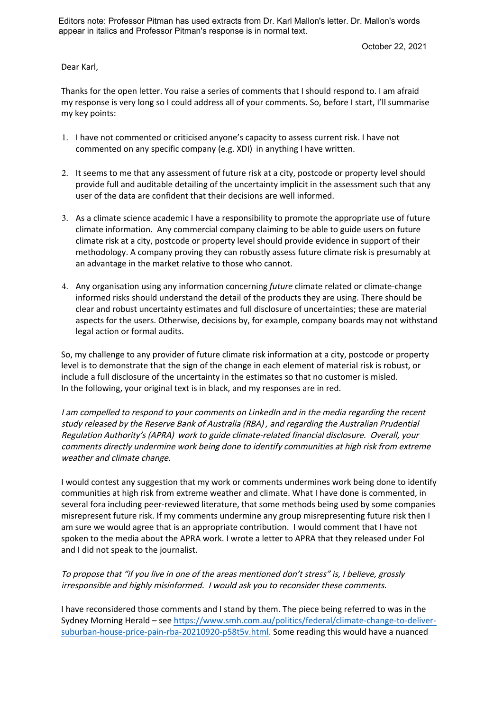Editors note: Professor Pitman has used extracts from Dr. Karl Mallon's letter. Dr. Mallon's words appear in italics and Professor Pitman's response is in normal text.

October 22, 2021

### Dear Karl,

Thanks for the open letter. You raise a series of comments that I should respond to. I am afraid my response is very long so I could address all of your comments. So, before I start, I'll summarise my key points:

- 1. I have not commented or criticised anyone's capacity to assess current risk. I have not commented on any specific company (e.g. XDI) in anything I have written.
- 2. It seems to me that any assessment of future risk at a city, postcode or property level should provide full and auditable detailing of the uncertainty implicit in the assessment such that any user of the data are confident that their decisions are well informed.
- 3. As a climate science academic I have a responsibility to promote the appropriate use of future climate information. Any commercial company claiming to be able to guide users on future climate risk at a city, postcode or property level should provide evidence in support of their methodology. A company proving they can robustly assess future climate risk is presumably at an advantage in the market relative to those who cannot.
- 4. Any organisation using any information concerning *future* climate related or climate-change informed risks should understand the detail of the products they are using. There should be clear and robust uncertainty estimates and full disclosure of uncertainties; these are material aspects for the users. Otherwise, decisions by, for example, company boards may not withstand legal action or formal audits.

So, my challenge to any provider of future climate risk information at a city, postcode or property level is to demonstrate that the sign of the change in each element of material risk is robust, or include a full disclosure of the uncertainty in the estimates so that no customer is misled. In the following, your original text is in black, and my responses are in red.

I am compelled to respond to your comments on LinkedIn and in the media regarding the recent study released by the Reserve Bank of Australia (RBA) , and regarding the Australian Prudential Regulation Authority's (APRA) work to guide climate-related financial disclosure. Overall, your comments directly undermine work being done to identify communities at high risk from extreme weather and climate change.

I would contest any suggestion that my work or comments undermines work being done to identify communities at high risk from extreme weather and climate. What I have done is commented, in several fora including peer-reviewed literature, that some methods being used by some companies misrepresent future risk. If my comments undermine any group misrepresenting future risk then I am sure we would agree that is an appropriate contribution. I would comment that I have not spoken to the media about the APRA work. I wrote a letter to APRA that they released under FoI and I did not speak to the journalist.

To propose that "if you live in one of the areas mentioned don't stress" is, I believe, grossly irresponsible and highly misinformed. I would ask you to reconsider these comments.

I have reconsidered those comments and I stand by them. The piece being referred to was in the Sydney Morning Herald – see https://www.smh.com.au/politics/federal/climate-change-to-deliversuburban-house-price-pain-rba-20210920-p58t5v.html. Some reading this would have a nuanced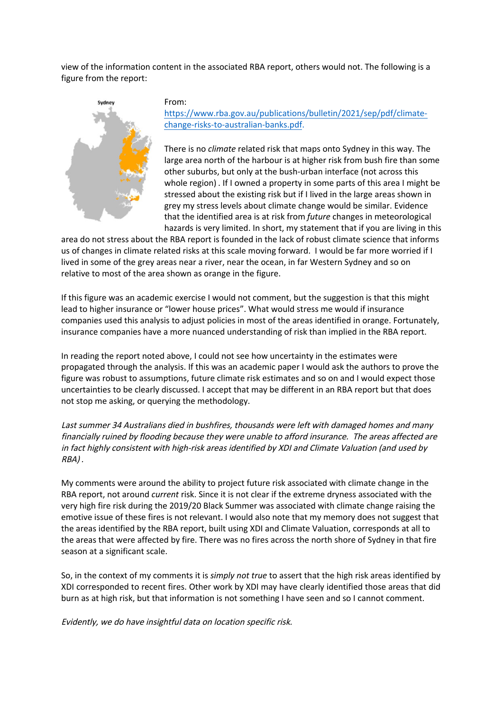view of the information content in the associated RBA report, others would not. The following is a figure from the report:



#### From:

https://www.rba.gov.au/publications/bulletin/2021/sep/pdf/climatechange-risks-to-australian-banks.pdf.

There is no *climate* related risk that maps onto Sydney in this way. The large area north of the harbour is at higher risk from bush fire than some other suburbs, but only at the bush-urban interface (not across this whole region) . If I owned a property in some parts of this area I might be stressed about the existing risk but if I lived in the large areas shown in grey my stress levels about climate change would be similar. Evidence that the identified area is at risk from *future* changes in meteorological hazards is very limited. In short, my statement that if you are living in this

area do not stress about the RBA report is founded in the lack of robust climate science that informs us of changes in climate related risks at this scale moving forward. I would be far more worried if I lived in some of the grey areas near a river, near the ocean, in far Western Sydney and so on relative to most of the area shown as orange in the figure.

If this figure was an academic exercise I would not comment, but the suggestion is that this might lead to higher insurance or "lower house prices". What would stress me would if insurance companies used this analysis to adjust policies in most of the areas identified in orange. Fortunately, insurance companies have a more nuanced understanding of risk than implied in the RBA report.

In reading the report noted above, I could not see how uncertainty in the estimates were propagated through the analysis. If this was an academic paper I would ask the authors to prove the figure was robust to assumptions, future climate risk estimates and so on and I would expect those uncertainties to be clearly discussed. I accept that may be different in an RBA report but that does not stop me asking, or querying the methodology.

Last summer 34 Australians died in bushfires, thousands were left with damaged homes and many financially ruined by flooding because they were unable to afford insurance. The areas affected are in fact highly consistent with high-risk areas identified by XDI and Climate Valuation (and used by RBA) .

My comments were around the ability to project future risk associated with climate change in the RBA report, not around *current* risk. Since it is not clear if the extreme dryness associated with the very high fire risk during the 2019/20 Black Summer was associated with climate change raising the emotive issue of these fires is not relevant. I would also note that my memory does not suggest that the areas identified by the RBA report, built using XDI and Climate Valuation, corresponds at all to the areas that were affected by fire. There was no fires across the north shore of Sydney in that fire season at a significant scale.

So, in the context of my comments it is *simply not true* to assert that the high risk areas identified by XDI corresponded to recent fires. Other work by XDI may have clearly identified those areas that did burn as at high risk, but that information is not something I have seen and so I cannot comment.

Evidently, we do have insightful data on location specific risk.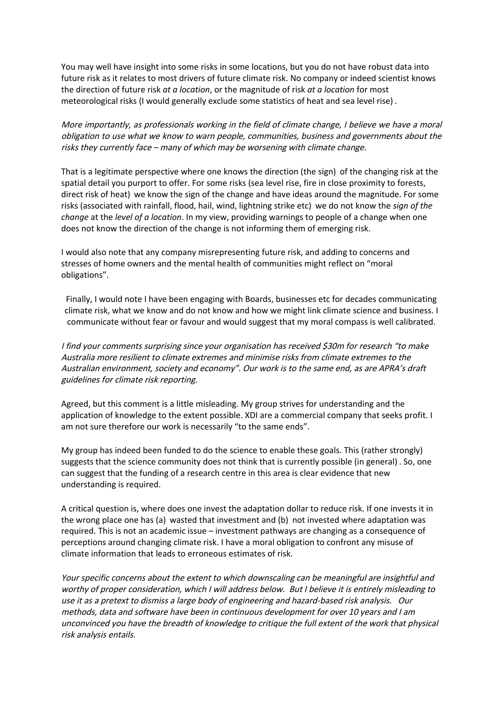You may well have insight into some risks in some locations, but you do not have robust data into future risk as it relates to most drivers of future climate risk. No company or indeed scientist knows the direction of future risk *at a location*, or the magnitude of risk *at a location* for most meteorological risks (I would generally exclude some statistics of heat and sea level rise) .

More importantly, as professionals working in the field of climate change, I believe we have a moral obligation to use what we know to warn people, communities, business and governments about the risks they currently face – many of which may be worsening with climate change.

That is a legitimate perspective where one knows the direction (the sign) of the changing risk at the spatial detail you purport to offer. For some risks (sea level rise, fire in close proximity to forests, direct risk of heat) we know the sign of the change and have ideas around the magnitude. For some risks (associated with rainfall, flood, hail, wind, lightning strike etc) we do not know the *sign of the change* at the *level of a location*. In my view, providing warnings to people of a change when one does not know the direction of the change is not informing them of emerging risk.

I would also note that any company misrepresenting future risk, and adding to concerns and stresses of home owners and the mental health of communities might reflect on "moral obligations".

Finally, I would note I have been engaging with Boards, businesses etc for decades communicating climate risk, what we know and do not know and how we might link climate science and business. I communicate without fear or favour and would suggest that my moral compass is well calibrated.

I find your comments surprising since your organisation has received \$30m for research "to make Australia more resilient to climate extremes and minimise risks from climate extremes to the Australian environment, society and economy". Our work is to the same end, as are APRA's draft guidelines for climate risk reporting.

Agreed, but this comment is a little misleading. My group strives for understanding and the application of knowledge to the extent possible. XDI are a commercial company that seeks profit. I am not sure therefore our work is necessarily "to the same ends".

My group has indeed been funded to do the science to enable these goals. This (rather strongly) suggests that the science community does not think that is currently possible (in general) . So, one can suggest that the funding of a research centre in this area is clear evidence that new understanding is required.

A critical question is, where does one invest the adaptation dollar to reduce risk. If one invests it in the wrong place one has (a) wasted that investment and (b) not invested where adaptation was required. This is not an academic issue – investment pathways are changing as a consequence of perceptions around changing climate risk. I have a moral obligation to confront any misuse of climate information that leads to erroneous estimates of risk.

Your specific concerns about the extent to which downscaling can be meaningful are insightful and worthy of proper consideration, which I will address below. But I believe it is entirely misleading to use it as a pretext to dismiss a large body of engineering and hazard-based risk analysis. Our methods, data and software have been in continuous development for over 10 years and I am unconvinced you have the breadth of knowledge to critique the full extent of the work that physical risk analysis entails.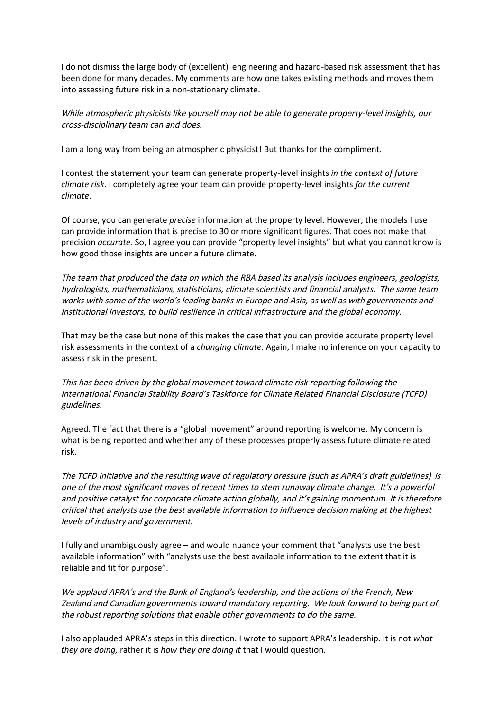I do not dismiss the large body of (excellent) engineering and hazard-based risk assessment that has been done for many decades. My comments are how one takes existing methods and moves them into assessing future risk in a non-stationary climate.

While atmospheric physicists like yourself may not be able to generate property-level insights, our cross-disciplinary team can and does.

I am a long way from being an atmospheric physicist! But thanks for the compliment.

I contest the statement your team can generate property-level insights *in the context of future climate risk*. I completely agree your team can provide property-level insights *for the current climate*.

Of course, you can generate *precise* information at the property level. However, the models I use can provide information that is precise to 30 or more significant figures. That does not make that precision *accurate.* So, I agree you can provide "property level insights" but what you cannot know is how good those insights are under a future climate.

The team that produced the data on which the RBA based its analysis includes engineers, geologists, hydrologists, mathematicians, statisticians, climate scientists and financial analysts. The same team works with some of the world's leading banks in Europe and Asia, as well as with governments and institutional investors, to build resilience in critical infrastructure and the global economy.

That may be the case but none of this makes the case that you can provide accurate property level risk assessments in the context of a *changing climate*. Again, I make no inference on your capacity to assess risk in the present.

This has been driven by the global movement toward climate risk reporting following the international Financial Stability Board's Taskforce for Climate Related Financial Disclosure (TCFD) guidelines.

Agreed. The fact that there is a "global movement" around reporting is welcome. My concern is what is being reported and whether any of these processes properly assess future climate related risk.

The TCFD initiative and the resulting wave of regulatory pressure (such as APRA's draft guidelines) is one of the most significant moves of recent times to stem runaway climate change. It's a powerful and positive catalyst for corporate climate action globally, and it's gaining momentum. It is therefore critical that analysts use the best available information to influence decision making at the highest levels of industry and government.

I fully and unambiguously agree – and would nuance your comment that "analysts use the best available information" with "analysts use the best available information to the extent that it is reliable and fit for purpose".

We applaud APRA's and the Bank of England's leadership, and the actions of the French, New Zealand and Canadian governments toward mandatory reporting. We look forward to being part of the robust reporting solutions that enable other governments to do the same.

I also applauded APRA's steps in this direction. I wrote to support APRA's leadership. It is not *what they are doing,* rather it is *how they are doing it* that I would question.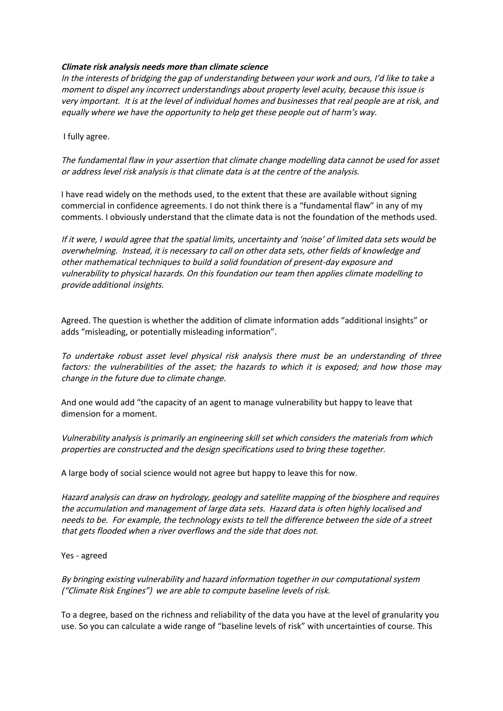# **Climate risk analysis needs more than climate science**

In the interests of bridging the gap of understanding between your work and ours, I'd like to take a moment to dispel any incorrect understandings about property level acuity, because this issue is very important. It is at the level of individual homes and businesses that real people are at risk, and equally where we have the opportunity to help get these people out of harm's way.

I fully agree.

The fundamental flaw in your assertion that climate change modelling data cannot be used for asset or address level risk analysis is that climate data is at the centre of the analysis.

I have read widely on the methods used, to the extent that these are available without signing commercial in confidence agreements. I do not think there is a "fundamental flaw" in any of my comments. I obviously understand that the climate data is not the foundation of the methods used.

If it were, I would agree that the spatial limits, uncertainty and 'noise' of limited data sets would be overwhelming. Instead, it is necessary to call on other data sets, other fields of knowledge and other mathematical techniques to build a solid foundation of present-day exposure and vulnerability to physical hazards. On this foundation our team then applies climate modelling to provide *additional* insights.

Agreed. The question is whether the addition of climate information adds "additional insights" or adds "misleading, or potentially misleading information".

To undertake robust asset level physical risk analysis there must be an understanding of three factors: the vulnerabilities of the asset; the hazards to which it is exposed; and how those may change in the future due to climate change.

And one would add "the capacity of an agent to manage vulnerability but happy to leave that dimension for a moment.

Vulnerability analysis is primarily an engineering skill set which considers the materials from which properties are constructed and the design specifications used to bring these together.

A large body of social science would not agree but happy to leave this for now.

Hazard analysis can draw on hydrology, geology and satellite mapping of the biosphere and requires the accumulation and management of large data sets. Hazard data is often highly localised and needs to be. For example, the technology exists to tell the difference between the side of a street that gets flooded when a river overflows and the side that does not.

Yes - agreed

By bringing existing vulnerability and hazard information together in our computational system ("Climate Risk Engines") we are able to compute baseline levels of risk.

To a degree, based on the richness and reliability of the data you have at the level of granularity you use. So you can calculate a wide range of "baseline levels of risk" with uncertainties of course. This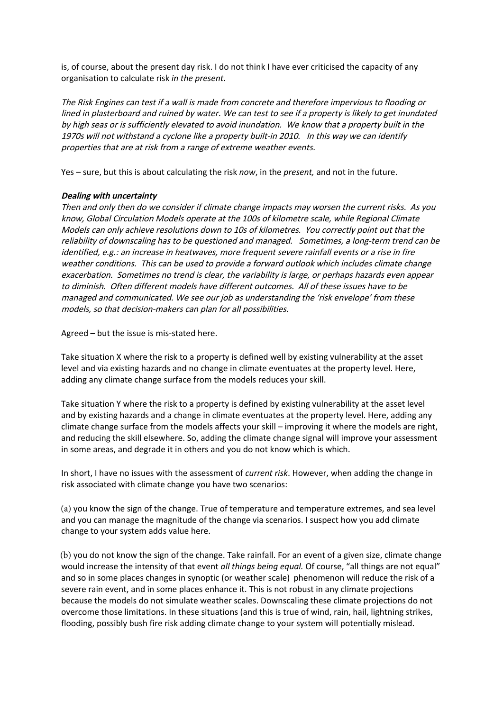is, of course, about the present day risk. I do not think I have ever criticised the capacity of any organisation to calculate risk *in the present*.

The Risk Engines can test if a wall is made from concrete and therefore impervious to flooding or lined in plasterboard and ruined by water. We can test to see if a property is likely to get inundated by high seas or is sufficiently elevated to avoid inundation. We know that <sup>a</sup> property built in the 1970s will not withstand a cyclone like a property built-in 2010. In this way we can identify properties that are at risk from a range of extreme weather events.

Yes – sure, but this is about calculating the risk *now*, in the *present,* and not in the future.

### **Dealing with uncertainty**

Then and only then do we consider if climate change impacts may worsen the current risks. As you know, Global Circulation Models operate at the 100s of kilometre scale, while Regional Climate Models can only achieve resolutions down to 10s of kilometres. You correctly point out that the reliability of downscaling has to be questioned and managed. Sometimes, a long-term trend can be identified, e.g.: an increase in heatwaves, more frequent severe rainfall events or <sup>a</sup> rise in fire weather conditions. This can be used to provide a forward outlook which includes climate change exacerbation. Sometimes no trend is clear, the variability is large, or perhaps hazards even appear to diminish. Often different models have different outcomes. All of these issues have to be managed and communicated. We see our job as understanding the 'risk envelope' from these models, so that decision-makers can plan for all possibilities.

Agreed – but the issue is mis-stated here.

Take situation X where the risk to a property is defined well by existing vulnerability at the asset level and via existing hazards and no change in climate eventuates at the property level. Here, adding any climate change surface from the models reduces your skill.

Take situation Y where the risk to a property is defined by existing vulnerability at the asset level and by existing hazards and a change in climate eventuates at the property level. Here, adding any climate change surface from the models affects your skill – improving it where the models are right, and reducing the skill elsewhere. So, adding the climate change signal will improve your assessment in some areas, and degrade it in others and you do not know which is which.

In short, I have no issues with the assessment of *current risk*. However, when adding the change in risk associated with climate change you have two scenarios:

(a) you know the sign of the change. True of temperature and temperature extremes, and sea level and you can manage the magnitude of the change via scenarios. I suspect how you add climate change to your system adds value here.

(b) you do not know the sign of the change. Take rainfall. For an event of a given size, climate change would increase the intensity of that event *all things being equal.* Of course, "all things are not equal" and so in some places changes in synoptic (or weather scale) phenomenon will reduce the risk of a severe rain event, and in some places enhance it. This is not robust in any climate projections because the models do not simulate weather scales. Downscaling these climate projections do not overcome those limitations. In these situations (and this is true of wind, rain, hail, lightning strikes, flooding, possibly bush fire risk adding climate change to your system will potentially mislead.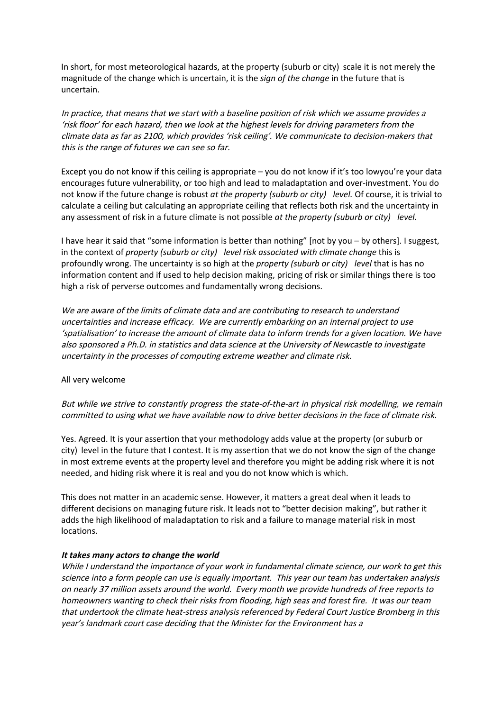In short, for most meteorological hazards, at the property (suburb or city) scale it is not merely the magnitude of the change which is uncertain, it is the *sign of the change* in the future that is uncertain.

In practice, that means that we start with a baseline position of risk which we assume provides a 'risk floor' for each hazard, then we look at the highest levels for driving parameters from the climate data as far as 2100, which provides 'risk ceiling'. We communicate to decision-makers that this is the range of futures we can see so far.

Except you do not know if this ceiling is appropriate – you do not know if it's too lowyou're your data encourages future vulnerability, or too high and lead to maladaptation and over-investment. You do not know if the future change is robust *at the property (suburb or city) level.* Of course, it is trivial to calculate a ceiling but calculating an appropriate ceiling that reflects both risk and the uncertainty in any assessment of risk in a future climate is not possible *at the property (suburb or city) level.* 

I have hear it said that "some information is better than nothing" [not by you – by others]. I suggest, in the context of *property (suburb or city) level risk associated with climate change* this is profoundly wrong. The uncertainty is so high at the *property (suburb or city) level* that is has no information content and if used to help decision making, pricing of risk or similar things there is too high a risk of perverse outcomes and fundamentally wrong decisions.

We are aware of the limits of climate data and are contributing to research to understand uncertainties and increase efficacy. We are currently embarking on an internal project to use 'spatialisation' to increase the amount of climate data to inform trends for a given location. We have also sponsored a Ph.D. in statistics and data science at the University of Newcastle to investigate uncertainty in the processes of computing extreme weather and climate risk.

## All very welcome

But while we strive to constantly progress the state-of-the-art in physical risk modelling, we remain committed to using what we have available now to drive better decisions in the face of climate risk.

Yes. Agreed. It is your assertion that your methodology adds value at the property (or suburb or city) level in the future that I contest. It is my assertion that we do not know the sign of the change in most extreme events at the property level and therefore you might be adding risk where it is not needed, and hiding risk where it is real and you do not know which is which.

This does not matter in an academic sense. However, it matters a great deal when it leads to different decisions on managing future risk. It leads not to "better decision making", but rather it adds the high likelihood of maladaptation to risk and a failure to manage material risk in most locations.

## **It takes many actors to change the world**

While I understand the importance of your work in fundamental climate science, our work to get this science into a form people can use is equally important. This year our team has undertaken analysis on nearly 37 million assets around the world. Every month we provide hundreds of free reports to homeowners wanting to check their risks from flooding, high seas and forest fire. It was our team that undertook the climate heat-stress analysis referenced by Federal Court Justice Bromberg in this year's landmark court case deciding that the Minister for the Environment has a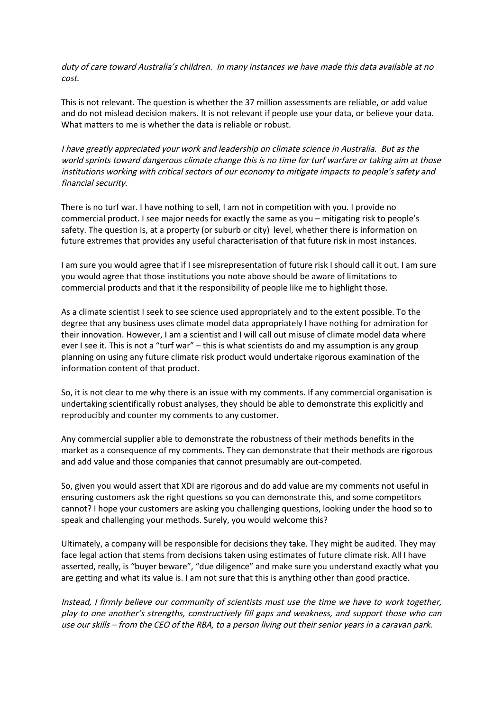duty of care toward Australia's children. In many instances we have made this data available at no cost.

This is not relevant. The question is whether the 37 million assessments are reliable, or add value and do not mislead decision makers. It is not relevant if people use your data, or believe your data. What matters to me is whether the data is reliable or robust.

I have greatly appreciated your work and leadership on climate science in Australia. But as the world sprints toward dangerous climate change this is no time for turf warfare or taking aim at those institutions working with critical sectors of our economy to mitigate impacts to people's safety and financial security.

There is no turf war. I have nothing to sell, I am not in competition with you. I provide no commercial product. I see major needs for exactly the same as you – mitigating risk to people's safety. The question is, at a property (or suburb or city) level, whether there is information on future extremes that provides any useful characterisation of that future risk in most instances.

I am sure you would agree that if I see misrepresentation of future risk I should call it out. I am sure you would agree that those institutions you note above should be aware of limitations to commercial products and that it the responsibility of people like me to highlight those.

As a climate scientist I seek to see science used appropriately and to the extent possible. To the degree that any business uses climate model data appropriately I have nothing for admiration for their innovation. However, I am a scientist and I will call out misuse of climate model data where ever I see it. This is not a "turf war" – this is what scientists do and my assumption is any group planning on using any future climate risk product would undertake rigorous examination of the information content of that product.

So, it is not clear to me why there is an issue with my comments. If any commercial organisation is undertaking scientifically robust analyses, they should be able to demonstrate this explicitly and reproducibly and counter my comments to any customer.

Any commercial supplier able to demonstrate the robustness of their methods benefits in the market as a consequence of my comments. They can demonstrate that their methods are rigorous and add value and those companies that cannot presumably are out-competed.

So, given you would assert that XDI are rigorous and do add value are my comments not useful in ensuring customers ask the right questions so you can demonstrate this, and some competitors cannot? I hope your customers are asking you challenging questions, looking under the hood so to speak and challenging your methods. Surely, you would welcome this?

Ultimately, a company will be responsible for decisions they take. They might be audited. They may face legal action that stems from decisions taken using estimates of future climate risk. All I have asserted, really, is "buyer beware", "due diligence" and make sure you understand exactly what you are getting and what its value is. I am not sure that this is anything other than good practice.

Instead, I firmly believe our community of scientists must use the time we have to work together, play to one another's strengths, constructively fill gaps and weakness, and support those who can use our skills – from the CEO of the RBA, to a person living out their senior years in a caravan park.